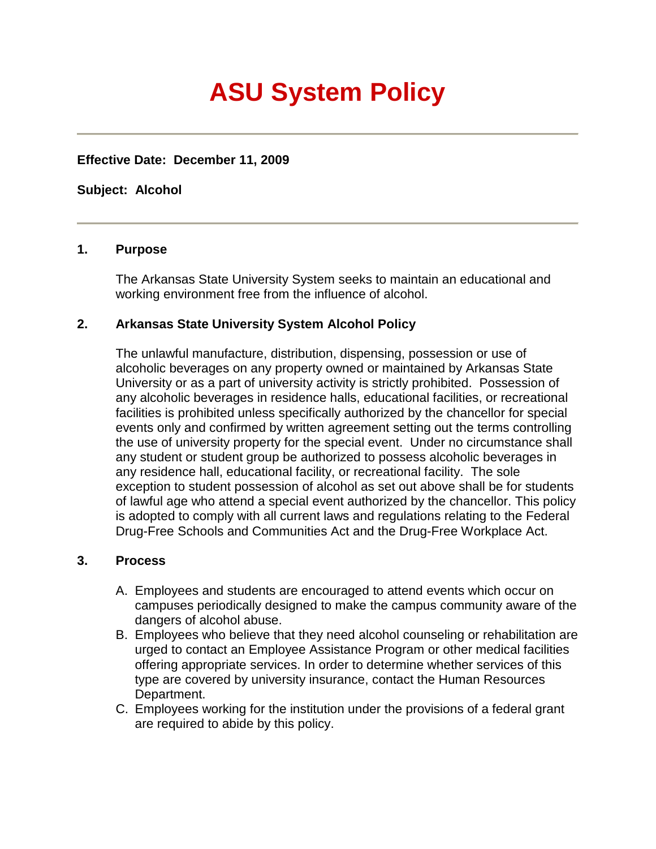## **ASU System Policy**

**Effective Date: December 11, 2009**

**Subject: Alcohol**

## **1. Purpose**

The Arkansas State University System seeks to maintain an educational and working environment free from the influence of alcohol.

## **2. Arkansas State University System Alcohol Policy**

The unlawful manufacture, distribution, dispensing, possession or use of alcoholic beverages on any property owned or maintained by Arkansas State University or as a part of university activity is strictly prohibited. Possession of any alcoholic beverages in residence halls, educational facilities, or recreational facilities is prohibited unless specifically authorized by the chancellor for special events only and confirmed by written agreement setting out the terms controlling the use of university property for the special event. Under no circumstance shall any student or student group be authorized to possess alcoholic beverages in any residence hall, educational facility, or recreational facility. The sole exception to student possession of alcohol as set out above shall be for students of lawful age who attend a special event authorized by the chancellor. This policy is adopted to comply with all current laws and regulations relating to the Federal Drug-Free Schools and Communities Act and the Drug-Free Workplace Act.

## **3. Process**

- A. Employees and students are encouraged to attend events which occur on campuses periodically designed to make the campus community aware of the dangers of alcohol abuse.
- B. Employees who believe that they need alcohol counseling or rehabilitation are urged to contact an Employee Assistance Program or other medical facilities offering appropriate services. In order to determine whether services of this type are covered by university insurance, contact the Human Resources Department.
- C. Employees working for the institution under the provisions of a federal grant are required to abide by this policy.